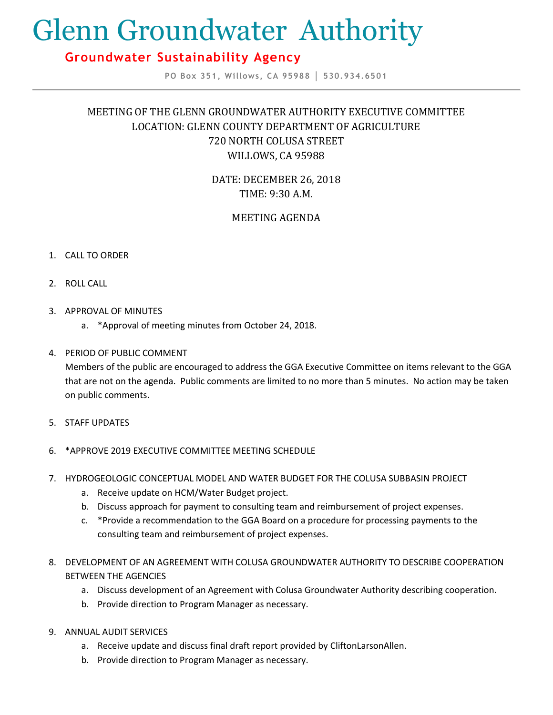# Glenn Groundwater Authority

## **Groundwater Sustainability Agency**

**PO Box 351, Willows, CA 95988 │ 530.934.6501**

## MEETING OF THE GLENN GROUNDWATER AUTHORITY EXECUTIVE COMMITTEE LOCATION: GLENN COUNTY DEPARTMENT OF AGRICULTURE 720 NORTH COLUSA STREET WILLOWS, CA 95988

DATE: DECEMBER 26, 2018 TIME: 9:30 A.M.

### MEETING AGENDA

#### 1. CALL TO ORDER

- 2. ROLL CALL
- 3. APPROVAL OF MINUTES
	- a. \*Approval of meeting minutes from October 24, 2018.

#### 4. PERIOD OF PUBLIC COMMENT

Members of the public are encouraged to address the GGA Executive Committee on items relevant to the GGA that are not on the agenda. Public comments are limited to no more than 5 minutes. No action may be taken on public comments.

5. STAFF UPDATES

#### 6. \*APPROVE 2019 EXECUTIVE COMMITTEE MEETING SCHEDULE

- 7. HYDROGEOLOGIC CONCEPTUAL MODEL AND WATER BUDGET FOR THE COLUSA SUBBASIN PROJECT
	- a. Receive update on HCM/Water Budget project.
	- b. Discuss approach for payment to consulting team and reimbursement of project expenses.
	- c. \*Provide a recommendation to the GGA Board on a procedure for processing payments to the consulting team and reimbursement of project expenses.
- 8. DEVELOPMENT OF AN AGREEMENT WITH COLUSA GROUNDWATER AUTHORITY TO DESCRIBE COOPERATION BETWEEN THE AGENCIES
	- a. Discuss development of an Agreement with Colusa Groundwater Authority describing cooperation.
	- b. Provide direction to Program Manager as necessary.
- 9. ANNUAL AUDIT SERVICES
	- a. Receive update and discuss final draft report provided by CliftonLarsonAllen.
	- b. Provide direction to Program Manager as necessary.